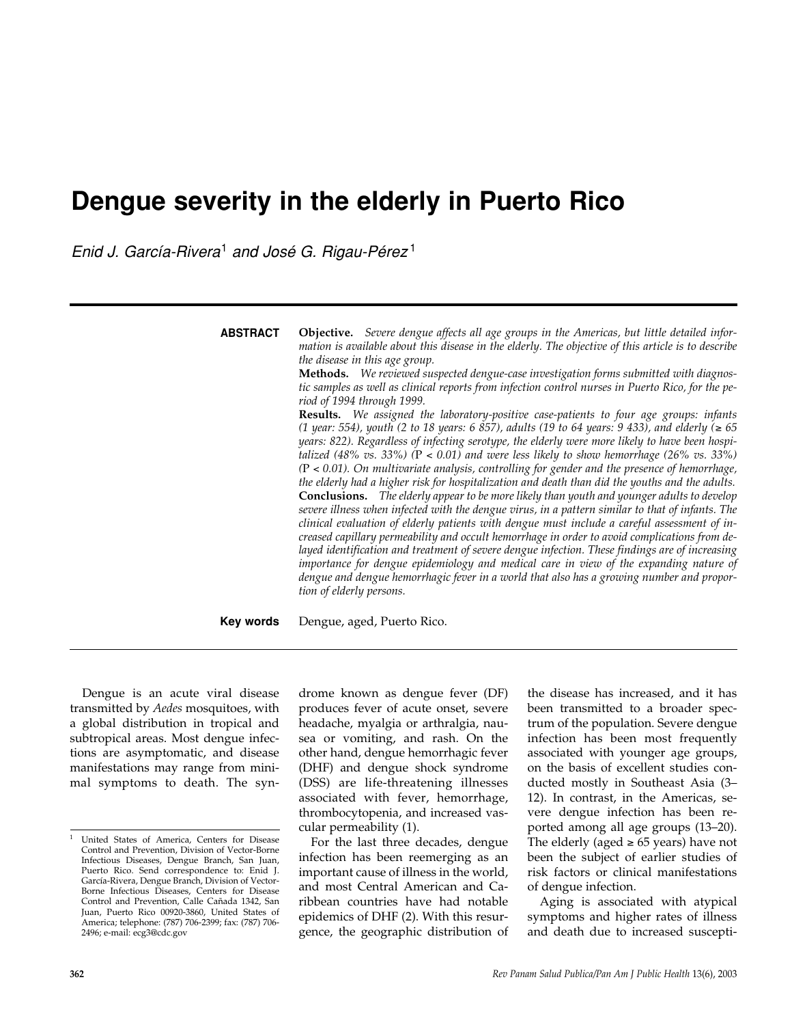# **Dengue severity in the elderly in Puerto Rico**

*Enid J. García-Rivera*<sup>1</sup> *and José G. Rigau-Pérez* <sup>1</sup>

| <b>ABSTRACT</b> | Objective. Severe dengue affects all age groups in the Americas, but little detailed infor-<br>mation is available about this disease in the elderly. The objective of this article is to describe<br>the disease in this age group.<br>Methods. We reviewed suspected dengue-case investigation forms submitted with diagnos-<br>tic samples as well as clinical reports from infection control nurses in Puerto Rico, for the pe-<br>riod of 1994 through 1999.<br>Results. We assigned the laboratory-positive case-patients to four age groups: infants<br>(1 year: 554), youth (2 to 18 years: 6 857), adults (19 to 64 years: 9 433), and elderly (≥ 65<br>years: 822). Regardless of infecting serotype, the elderly were more likely to have been hospi-<br>talized (48% vs. 33%) ( $P < 0.01$ ) and were less likely to show hemorrhage (26% vs. 33%)<br>$(P < 0.01)$ . On multivariate analysis, controlling for gender and the presence of hemorrhage,<br>the elderly had a higher risk for hospitalization and death than did the youths and the adults.<br><b>Conclusions.</b> The elderly appear to be more likely than youth and younger adults to develop<br>severe illness when infected with the dengue virus, in a pattern similar to that of infants. The<br>clinical evaluation of elderly patients with dengue must include a careful assessment of in-<br>creased capillary permeability and occult hemorrhage in order to avoid complications from de-<br>layed identification and treatment of severe dengue infection. These findings are of increasing<br>importance for dengue epidemiology and medical care in view of the expanding nature of<br>dengue and dengue hemorrhagic fever in a world that also has a growing number and propor-<br>tion of elderly persons. |
|-----------------|------------------------------------------------------------------------------------------------------------------------------------------------------------------------------------------------------------------------------------------------------------------------------------------------------------------------------------------------------------------------------------------------------------------------------------------------------------------------------------------------------------------------------------------------------------------------------------------------------------------------------------------------------------------------------------------------------------------------------------------------------------------------------------------------------------------------------------------------------------------------------------------------------------------------------------------------------------------------------------------------------------------------------------------------------------------------------------------------------------------------------------------------------------------------------------------------------------------------------------------------------------------------------------------------------------------------------------------------------------------------------------------------------------------------------------------------------------------------------------------------------------------------------------------------------------------------------------------------------------------------------------------------------------------------------------------------------------------------------------------------------------------------------------------------------|
| Key words       | Dengue, aged, Puerto Rico.                                                                                                                                                                                                                                                                                                                                                                                                                                                                                                                                                                                                                                                                                                                                                                                                                                                                                                                                                                                                                                                                                                                                                                                                                                                                                                                                                                                                                                                                                                                                                                                                                                                                                                                                                                           |

Dengue is an acute viral disease transmitted by *Aedes* mosquitoes, with a global distribution in tropical and subtropical areas. Most dengue infections are asymptomatic, and disease manifestations may range from minimal symptoms to death. The syndrome known as dengue fever (DF) produces fever of acute onset, severe headache, myalgia or arthralgia, nausea or vomiting, and rash. On the other hand, dengue hemorrhagic fever (DHF) and dengue shock syndrome (DSS) are life-threatening illnesses associated with fever, hemorrhage, thrombocytopenia, and increased vascular permeability (1).

For the last three decades, dengue infection has been reemerging as an important cause of illness in the world, and most Central American and Caribbean countries have had notable epidemics of DHF (2). With this resurgence, the geographic distribution of the disease has increased, and it has been transmitted to a broader spectrum of the population. Severe dengue infection has been most frequently associated with younger age groups, on the basis of excellent studies conducted mostly in Southeast Asia (3– 12). In contrast, in the Americas, severe dengue infection has been reported among all age groups (13–20). The elderly (aged  $\geq 65$  years) have not been the subject of earlier studies of risk factors or clinical manifestations of dengue infection.

Aging is associated with atypical symptoms and higher rates of illness and death due to increased suscepti-

<sup>1</sup> United States of America, Centers for Disease Control and Prevention, Division of Vector-Borne Infectious Diseases, Dengue Branch, San Juan, Puerto Rico. Send correspondence to: Enid J. García-Rivera, Dengue Branch, Division of Vector-Borne Infectious Diseases, Centers for Disease Control and Prevention, Calle Cañada 1342, San Juan, Puerto Rico 00920-3860, United States of America; telephone: (787) 706-2399; fax: (787) 706- 2496; e-mail: ecg3@cdc.gov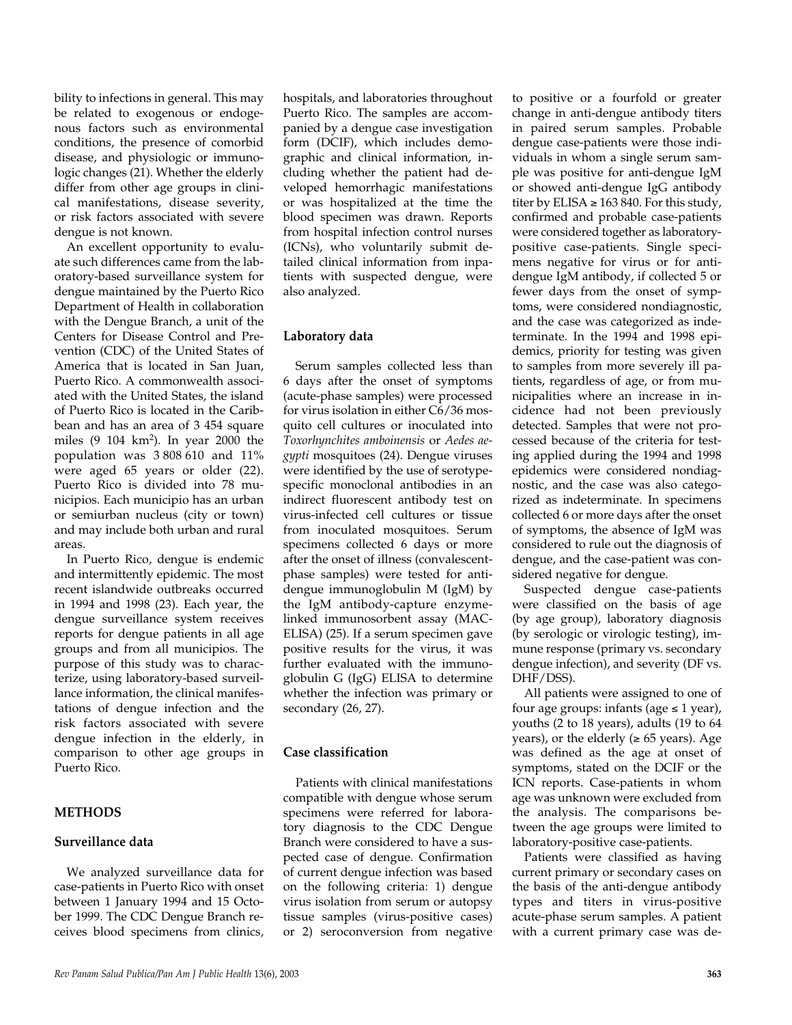bility to infections in general. This may be related to exogenous or endogenous factors such as environmental conditions, the presence of comorbid disease, and physiologic or immunologic changes (21). Whether the elderly differ from other age groups in clinical manifestations, disease severity, or risk factors associated with severe dengue is not known.

An excellent opportunity to evaluate such differences came from the laboratory-based surveillance system for dengue maintained by the Puerto Rico Department of Health in collaboration with the Dengue Branch, a unit of the Centers for Disease Control and Prevention (CDC) of the United States of America that is located in San Juan, Puerto Rico. A commonwealth associated with the United States, the island of Puerto Rico is located in the Caribbean and has an area of 3 454 square miles (9 104 km2). In year 2000 the population was 3 808 610 and 11% were aged 65 years or older (22). Puerto Rico is divided into 78 municipios. Each municipio has an urban or semiurban nucleus (city or town) and may include both urban and rural areas.

In Puerto Rico, dengue is endemic and intermittently epidemic. The most recent islandwide outbreaks occurred in 1994 and 1998 (23). Each year, the dengue surveillance system receives reports for dengue patients in all age groups and from all municipios. The purpose of this study was to characterize, using laboratory-based surveillance information, the clinical manifestations of dengue infection and the risk factors associated with severe dengue infection in the elderly, in comparison to other age groups in Puerto Rico.

### **METHODS**

#### **Surveillance data**

We analyzed surveillance data for case-patients in Puerto Rico with onset between 1 January 1994 and 15 October 1999. The CDC Dengue Branch receives blood specimens from clinics,

hospitals, and laboratories throughout Puerto Rico. The samples are accompanied by a dengue case investigation form (DCIF), which includes demographic and clinical information, including whether the patient had developed hemorrhagic manifestations or was hospitalized at the time the blood specimen was drawn. Reports from hospital infection control nurses (ICNs), who voluntarily submit detailed clinical information from inpatients with suspected dengue, were also analyzed.

#### **Laboratory data**

Serum samples collected less than 6 days after the onset of symptoms (acute-phase samples) were processed for virus isolation in either C6/36 mosquito cell cultures or inoculated into *Toxorhynchites amboinensis* or *Aedes aegypti* mosquitoes (24). Dengue viruses were identified by the use of serotypespecific monoclonal antibodies in an indirect fluorescent antibody test on virus-infected cell cultures or tissue from inoculated mosquitoes. Serum specimens collected 6 days or more after the onset of illness (convalescentphase samples) were tested for antidengue immunoglobulin M (IgM) by the IgM antibody-capture enzymelinked immunosorbent assay (MAC-ELISA) (25). If a serum specimen gave positive results for the virus, it was further evaluated with the immunoglobulin G (IgG) ELISA to determine whether the infection was primary or secondary (26, 27).

#### **Case classification**

Patients with clinical manifestations compatible with dengue whose serum specimens were referred for laboratory diagnosis to the CDC Dengue Branch were considered to have a suspected case of dengue. Confirmation of current dengue infection was based on the following criteria: 1) dengue virus isolation from serum or autopsy tissue samples (virus-positive cases) or 2) seroconversion from negative

to positive or a fourfold or greater change in anti-dengue antibody titers in paired serum samples. Probable dengue case-patients were those individuals in whom a single serum sample was positive for anti-dengue IgM or showed anti-dengue IgG antibody titer by ELISA  $\geq 163 840$ . For this study, confirmed and probable case-patients were considered together as laboratorypositive case-patients. Single specimens negative for virus or for antidengue IgM antibody, if collected 5 or fewer days from the onset of symptoms, were considered nondiagnostic, and the case was categorized as indeterminate. In the 1994 and 1998 epidemics, priority for testing was given to samples from more severely ill patients, regardless of age, or from municipalities where an increase in incidence had not been previously detected. Samples that were not processed because of the criteria for testing applied during the 1994 and 1998 epidemics were considered nondiagnostic, and the case was also categorized as indeterminate. In specimens collected 6 or more days after the onset of symptoms, the absence of IgM was considered to rule out the diagnosis of dengue, and the case-patient was considered negative for dengue.

Suspected dengue case-patients were classified on the basis of age (by age group), laboratory diagnosis (by serologic or virologic testing), immune response (primary vs. secondary dengue infection), and severity (DF vs. DHF/DSS).

All patients were assigned to one of four age groups: infants (age  $\leq 1$  year), youths (2 to 18 years), adults (19 to 64 years), or the elderly  $(≥ 65$  years). Age was defined as the age at onset of symptoms, stated on the DCIF or the ICN reports. Case-patients in whom age was unknown were excluded from the analysis. The comparisons between the age groups were limited to laboratory-positive case-patients.

Patients were classified as having current primary or secondary cases on the basis of the anti-dengue antibody types and titers in virus-positive acute-phase serum samples. A patient with a current primary case was de-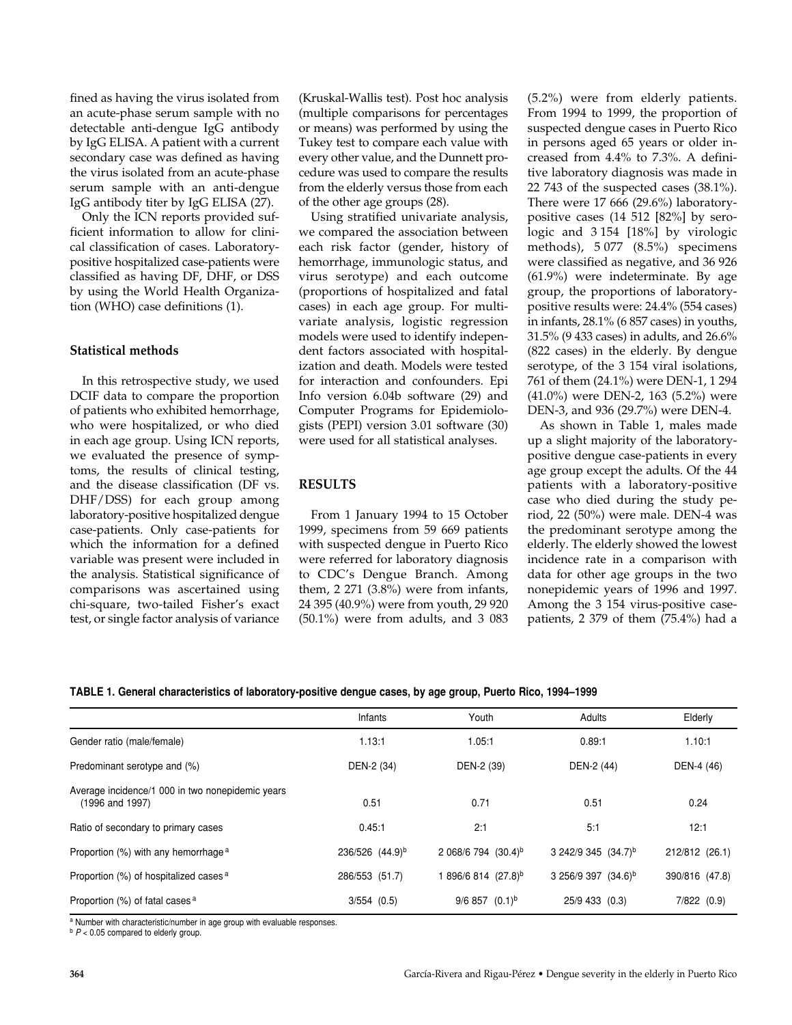fined as having the virus isolated from an acute-phase serum sample with no detectable anti-dengue IgG antibody by IgG ELISA. A patient with a current secondary case was defined as having the virus isolated from an acute-phase serum sample with an anti-dengue IgG antibody titer by IgG ELISA (27).

Only the ICN reports provided sufficient information to allow for clinical classification of cases. Laboratorypositive hospitalized case-patients were classified as having DF, DHF, or DSS by using the World Health Organization (WHO) case definitions (1).

#### **Statistical methods**

In this retrospective study, we used DCIF data to compare the proportion of patients who exhibited hemorrhage, who were hospitalized, or who died in each age group. Using ICN reports, we evaluated the presence of symptoms, the results of clinical testing, and the disease classification (DF vs. DHF/DSS) for each group among laboratory-positive hospitalized dengue case-patients. Only case-patients for which the information for a defined variable was present were included in the analysis. Statistical significance of comparisons was ascertained using chi-square, two-tailed Fisher's exact test, or single factor analysis of variance

(Kruskal-Wallis test). Post hoc analysis (multiple comparisons for percentages or means) was performed by using the Tukey test to compare each value with every other value, and the Dunnett procedure was used to compare the results from the elderly versus those from each of the other age groups (28).

Using stratified univariate analysis, we compared the association between each risk factor (gender, history of hemorrhage, immunologic status, and virus serotype) and each outcome (proportions of hospitalized and fatal cases) in each age group. For multivariate analysis, logistic regression models were used to identify independent factors associated with hospitalization and death. Models were tested for interaction and confounders. Epi Info version 6.04b software (29) and Computer Programs for Epidemiologists (PEPI) version 3.01 software (30) were used for all statistical analyses.

# **RESULTS**

From 1 January 1994 to 15 October 1999, specimens from 59 669 patients with suspected dengue in Puerto Rico were referred for laboratory diagnosis to CDC's Dengue Branch. Among them, 2 271 (3.8%) were from infants, 24 395 (40.9%) were from youth, 29 920 (50.1%) were from adults, and 3 083 (5.2%) were from elderly patients. From 1994 to 1999, the proportion of suspected dengue cases in Puerto Rico in persons aged 65 years or older increased from 4.4% to 7.3%. A definitive laboratory diagnosis was made in 22 743 of the suspected cases  $(38.1\%)$ . There were 17 666 (29.6%) laboratorypositive cases (14 512 [82%] by serologic and 3 154 [18%] by virologic methods), 5 077 (8.5%) specimens were classified as negative, and 36 926 (61.9%) were indeterminate. By age group, the proportions of laboratorypositive results were: 24.4% (554 cases) in infants, 28.1% (6 857 cases) in youths, 31.5% (9 433 cases) in adults, and 26.6% (822 cases) in the elderly. By dengue serotype, of the 3 154 viral isolations, 761 of them (24.1%) were DEN-1, 1 294 (41.0%) were DEN-2, 163 (5.2%) were DEN-3, and 936 (29.7%) were DEN-4.

As shown in Table 1, males made up a slight majority of the laboratorypositive dengue case-patients in every age group except the adults. Of the 44 patients with a laboratory-positive case who died during the study period, 22 (50%) were male. DEN-4 was the predominant serotype among the elderly. The elderly showed the lowest incidence rate in a comparison with data for other age groups in the two nonepidemic years of 1996 and 1997. Among the 3 154 virus-positive casepatients, 2 379 of them (75.4%) had a

| TABLE 1. General characteristics of laboratory-positive dengue cases, by age group, Puerto Rico, 1994-1999 |  |  |  |
|------------------------------------------------------------------------------------------------------------|--|--|--|
|                                                                                                            |  |  |  |

| Infants         | Youth                           | Adults                 | Elderly        |  |
|-----------------|---------------------------------|------------------------|----------------|--|
| 1.13:1          | 1.05:1                          | 0.89:1                 | 1.10:1         |  |
| DEN-2 (34)      | DEN-2 (39)                      | DEN-2 (44)             | DEN-4 (46)     |  |
| 0.51            | 0.71                            | 0.51                   | 0.24           |  |
| 0.45:1          | 2:1                             | 5:1                    | 12:1           |  |
| 236/526 (44.9)b | 2 068/6 794 (30.4) <sup>b</sup> | 3 242/9 345 (34.7)b    | 212/812 (26.1) |  |
| 286/553 (51.7)  | l 896/6 814 (27.8) <sup>b</sup> | $3256/9397$ $(34.6)^b$ | 390/816 (47.8) |  |
| $3/554$ $(0.5)$ | $9/6$ 857 $(0.1)^b$             | 25/9 433 (0.3)         | 7/822 (0.9)    |  |
|                 |                                 |                        |                |  |

a Number with characteristic/number in age group with evaluable responses.

b  $P$  < 0.05 compared to elderly group.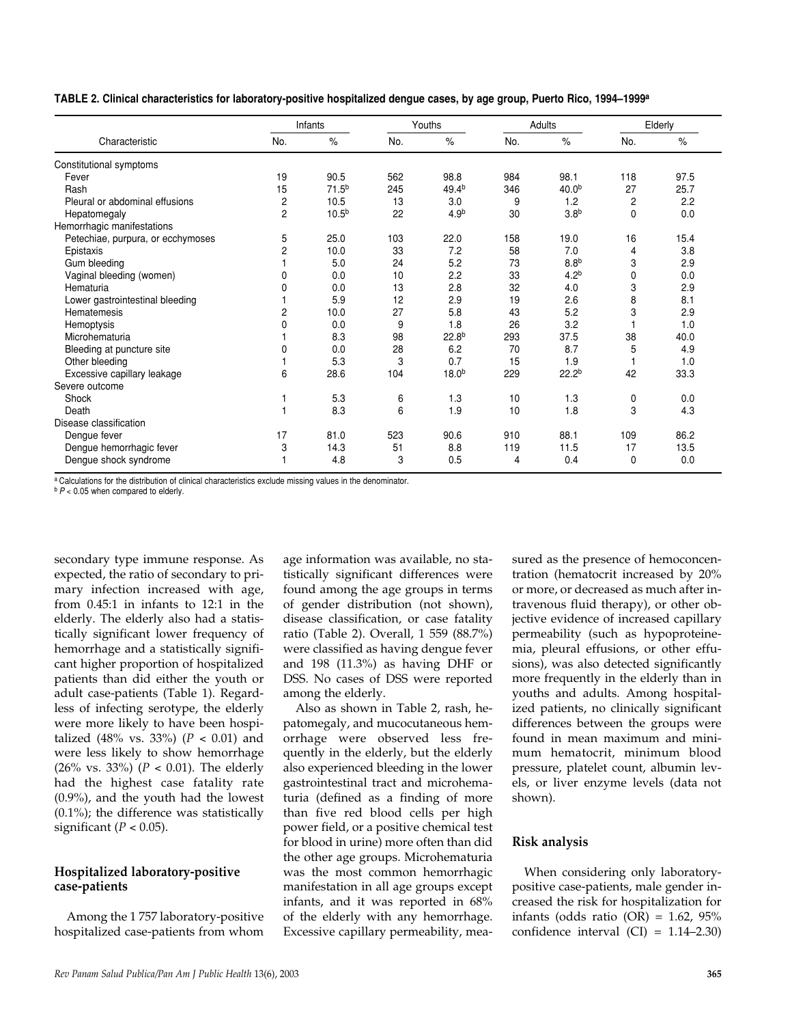|  |  |  |  | TABLE 2. Clinical characteristics for laboratory-positive hospitalized dengue cases, by age group, Puerto Rico, 1994–1999ª |  |
|--|--|--|--|----------------------------------------------------------------------------------------------------------------------------|--|
|  |  |  |  |                                                                                                                            |  |

|                                   | Infants          |                   | Youths |                   | Adults |                   | Elderly |               |
|-----------------------------------|------------------|-------------------|--------|-------------------|--------|-------------------|---------|---------------|
| Characteristic                    | No.              | $\%$              | No.    | $\%$              | No.    | $\%$              | No.     | $\frac{0}{0}$ |
| Constitutional symptoms           |                  |                   |        |                   |        |                   |         |               |
| Fever                             | 19               | 90.5              | 562    | 98.8              | 984    | 98.1              | 118     | 97.5          |
| Rash                              | 15               | 71.5 <sup>b</sup> | 245    | 49.4 <sup>b</sup> | 346    | 40.0 <sup>b</sup> | 27      | 25.7          |
| Pleural or abdominal effusions    | $\boldsymbol{2}$ | 10.5              | 13     | 3.0               | 9      | 1.2               | 2       | 2.2           |
| Hepatomegaly                      | $\overline{2}$   | 10.5 <sup>b</sup> | 22     | 4.9 <sup>b</sup>  | 30     | 3.8 <sup>b</sup>  | 0       | 0.0           |
| Hemorrhagic manifestations        |                  |                   |        |                   |        |                   |         |               |
| Petechiae, purpura, or ecchymoses | 5                | 25.0              | 103    | 22.0              | 158    | 19.0              | 16      | 15.4          |
| Epistaxis                         | $\overline{c}$   | 10.0              | 33     | 7.2               | 58     | 7.0               | 4       | 3.8           |
| Gum bleeding                      |                  | 5.0               | 24     | 5.2               | 73     | 8.8 <sup>b</sup>  | 3       | 2.9           |
| Vaginal bleeding (women)          | 0                | 0.0               | 10     | 2.2               | 33     | 4.2 <sup>b</sup>  | 0       | 0.0           |
| Hematuria                         | 0                | 0.0               | 13     | 2.8               | 32     | 4.0               | 3       | 2.9           |
| Lower gastrointestinal bleeding   |                  | 5.9               | 12     | 2.9               | 19     | 2.6               | 8       | 8.1           |
| Hematemesis                       | 2                | 10.0              | 27     | 5.8               | 43     | 5.2               | 3       | 2.9           |
| Hemoptysis                        | 0                | 0.0               | 9      | 1.8               | 26     | 3.2               |         | 1.0           |
| Microhematuria                    |                  | 8.3               | 98     | 22.8 <sup>b</sup> | 293    | 37.5              | 38      | 40.0          |
| Bleeding at puncture site         | 0                | 0.0               | 28     | 6.2               | 70     | 8.7               | 5       | 4.9           |
| Other bleeding                    |                  | 5.3               | 3      | 0.7               | 15     | 1.9               |         | 1.0           |
| Excessive capillary leakage       | 6                | 28.6              | 104    | 18.0 <sup>b</sup> | 229    | 22.2 <sup>b</sup> | 42      | 33.3          |
| Severe outcome                    |                  |                   |        |                   |        |                   |         |               |
| Shock                             |                  | 5.3               | 6      | 1.3               | 10     | 1.3               | 0       | 0.0           |
| Death                             |                  | 8.3               | 6      | 1.9               | 10     | 1.8               | 3       | 4.3           |
| Disease classification            |                  |                   |        |                   |        |                   |         |               |
| Dengue fever                      | 17               | 81.0              | 523    | 90.6              | 910    | 88.1              | 109     | 86.2          |
| Dengue hemorrhagic fever          | 3                | 14.3              | 51     | 8.8               | 119    | 11.5              | 17      | 13.5          |
| Dengue shock syndrome             |                  | 4.8               | 3      | 0.5               | 4      | 0.4               | 0       | 0.0           |

a Calculations for the distribution of clinical characteristics exclude missing values in the denominator.

<sup>b</sup>*P* < 0.05 when compared to elderly.

secondary type immune response. As expected, the ratio of secondary to primary infection increased with age, from 0.45:1 in infants to 12:1 in the elderly. The elderly also had a statistically significant lower frequency of hemorrhage and a statistically significant higher proportion of hospitalized patients than did either the youth or adult case-patients (Table 1). Regardless of infecting serotype, the elderly were more likely to have been hospitalized (48% vs. 33%) ( $P < 0.01$ ) and were less likely to show hemorrhage (26% vs. 33%) (*P* < 0.01). The elderly had the highest case fatality rate (0.9%), and the youth had the lowest (0.1%); the difference was statistically significant ( $P < 0.05$ ).

### **Hospitalized laboratory-positive case-patients**

Among the 1 757 laboratory-positive hospitalized case-patients from whom age information was available, no statistically significant differences were found among the age groups in terms of gender distribution (not shown), disease classification, or case fatality ratio (Table 2). Overall, 1 559 (88.7%) were classified as having dengue fever and 198 (11.3%) as having DHF or DSS. No cases of DSS were reported among the elderly.

Also as shown in Table 2, rash, hepatomegaly, and mucocutaneous hemorrhage were observed less frequently in the elderly, but the elderly also experienced bleeding in the lower gastrointestinal tract and microhematuria (defined as a finding of more than five red blood cells per high power field, or a positive chemical test for blood in urine) more often than did the other age groups. Microhematuria was the most common hemorrhagic manifestation in all age groups except infants, and it was reported in 68% of the elderly with any hemorrhage. Excessive capillary permeability, mea-

sured as the presence of hemoconcentration (hematocrit increased by 20% or more, or decreased as much after intravenous fluid therapy), or other objective evidence of increased capillary permeability (such as hypoproteinemia, pleural effusions, or other effusions), was also detected significantly more frequently in the elderly than in youths and adults. Among hospitalized patients, no clinically significant differences between the groups were found in mean maximum and minimum hematocrit, minimum blood pressure, platelet count, albumin levels, or liver enzyme levels (data not shown).

#### **Risk analysis**

When considering only laboratorypositive case-patients, male gender increased the risk for hospitalization for infants (odds ratio  $(OR) = 1.62$ , 95% confidence interval  $(CI) = 1.14-2.30$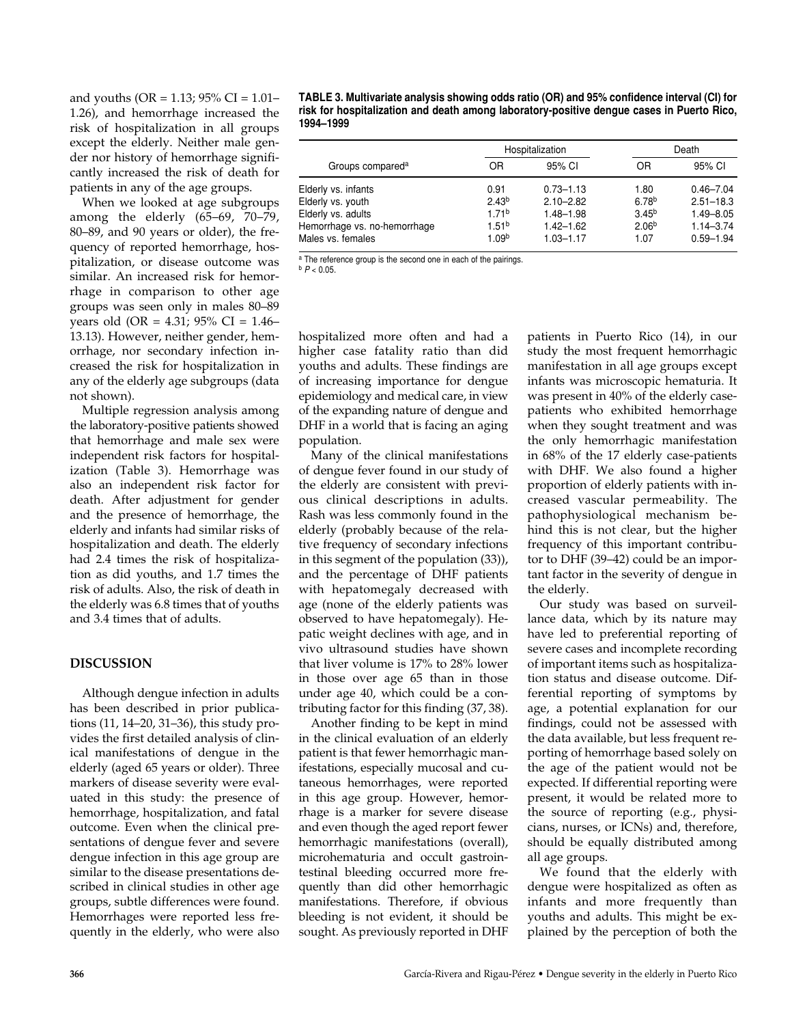and youths (OR = 1.13; 95% CI = 1.01– 1.26), and hemorrhage increased the risk of hospitalization in all groups except the elderly. Neither male gender nor history of hemorrhage significantly increased the risk of death for patients in any of the age groups.

When we looked at age subgroups among the elderly (65–69, 70–79, 80–89, and 90 years or older), the frequency of reported hemorrhage, hospitalization, or disease outcome was similar. An increased risk for hemorrhage in comparison to other age groups was seen only in males 80–89 years old (OR = 4.31; 95% CI = 1.46– 13.13). However, neither gender, hemorrhage, nor secondary infection increased the risk for hospitalization in any of the elderly age subgroups (data not shown).

Multiple regression analysis among the laboratory-positive patients showed that hemorrhage and male sex were independent risk factors for hospitalization (Table 3). Hemorrhage was also an independent risk factor for death. After adjustment for gender and the presence of hemorrhage, the elderly and infants had similar risks of hospitalization and death. The elderly had 2.4 times the risk of hospitalization as did youths, and 1.7 times the risk of adults. Also, the risk of death in the elderly was 6.8 times that of youths and 3.4 times that of adults.

# **DISCUSSION**

Although dengue infection in adults has been described in prior publications (11, 14–20, 31–36), this study provides the first detailed analysis of clinical manifestations of dengue in the elderly (aged 65 years or older). Three markers of disease severity were evaluated in this study: the presence of hemorrhage, hospitalization, and fatal outcome. Even when the clinical presentations of dengue fever and severe dengue infection in this age group are similar to the disease presentations described in clinical studies in other age groups, subtle differences were found. Hemorrhages were reported less frequently in the elderly, who were also

**TABLE 3. Multivariate analysis showing odds ratio (OR) and 95% confidence interval (CI) for risk for hospitalization and death among laboratory-positive dengue cases in Puerto Rico, 1994–1999** 

|                              |                   | Hospitalization | Death             |               |  |
|------------------------------|-------------------|-----------------|-------------------|---------------|--|
| Groups compared <sup>a</sup> | OR                | 95% CI          | OR                | 95% CI        |  |
| Elderly vs. infants          | 0.91              | $0.73 - 1.13$   | 1.80              | $0.46 - 7.04$ |  |
| Elderly vs. youth            | 2.43 <sup>b</sup> | $2.10 - 2.82$   | 6.78 <sup>b</sup> | $2.51 - 18.3$ |  |
| Elderly vs. adults           | 1.71 <sup>b</sup> | $1.48 - 1.98$   | 3.45 <sup>b</sup> | $1.49 - 8.05$ |  |
| Hemorrhage vs. no-hemorrhage | 1.51 <sup>b</sup> | $1.42 - 1.62$   | 2.06 <sup>b</sup> | $1.14 - 3.74$ |  |
| Males vs. females            | 1.09 <sup>b</sup> | $1.03 - 1.17$   | 1.07              | $0.59 - 1.94$ |  |

a The reference group is the second one in each of the pairings.  $b$   $P < 0.05$ .

hospitalized more often and had a higher case fatality ratio than did youths and adults. These findings are of increasing importance for dengue epidemiology and medical care, in view of the expanding nature of dengue and DHF in a world that is facing an aging population.

Many of the clinical manifestations of dengue fever found in our study of the elderly are consistent with previous clinical descriptions in adults. Rash was less commonly found in the elderly (probably because of the relative frequency of secondary infections in this segment of the population (33)), and the percentage of DHF patients with hepatomegaly decreased with age (none of the elderly patients was observed to have hepatomegaly). Hepatic weight declines with age, and in vivo ultrasound studies have shown that liver volume is 17% to 28% lower in those over age 65 than in those under age 40, which could be a contributing factor for this finding (37, 38).

Another finding to be kept in mind in the clinical evaluation of an elderly patient is that fewer hemorrhagic manifestations, especially mucosal and cutaneous hemorrhages, were reported in this age group. However, hemorrhage is a marker for severe disease and even though the aged report fewer hemorrhagic manifestations (overall), microhematuria and occult gastrointestinal bleeding occurred more frequently than did other hemorrhagic manifestations. Therefore, if obvious bleeding is not evident, it should be sought. As previously reported in DHF

patients in Puerto Rico (14), in our study the most frequent hemorrhagic manifestation in all age groups except infants was microscopic hematuria. It was present in 40% of the elderly casepatients who exhibited hemorrhage when they sought treatment and was the only hemorrhagic manifestation in 68% of the 17 elderly case-patients with DHF. We also found a higher proportion of elderly patients with increased vascular permeability. The pathophysiological mechanism behind this is not clear, but the higher frequency of this important contributor to DHF (39–42) could be an important factor in the severity of dengue in the elderly.

Our study was based on surveillance data, which by its nature may have led to preferential reporting of severe cases and incomplete recording of important items such as hospitalization status and disease outcome. Differential reporting of symptoms by age, a potential explanation for our findings, could not be assessed with the data available, but less frequent reporting of hemorrhage based solely on the age of the patient would not be expected. If differential reporting were present, it would be related more to the source of reporting (e.g., physicians, nurses, or ICNs) and, therefore, should be equally distributed among all age groups.

We found that the elderly with dengue were hospitalized as often as infants and more frequently than youths and adults. This might be explained by the perception of both the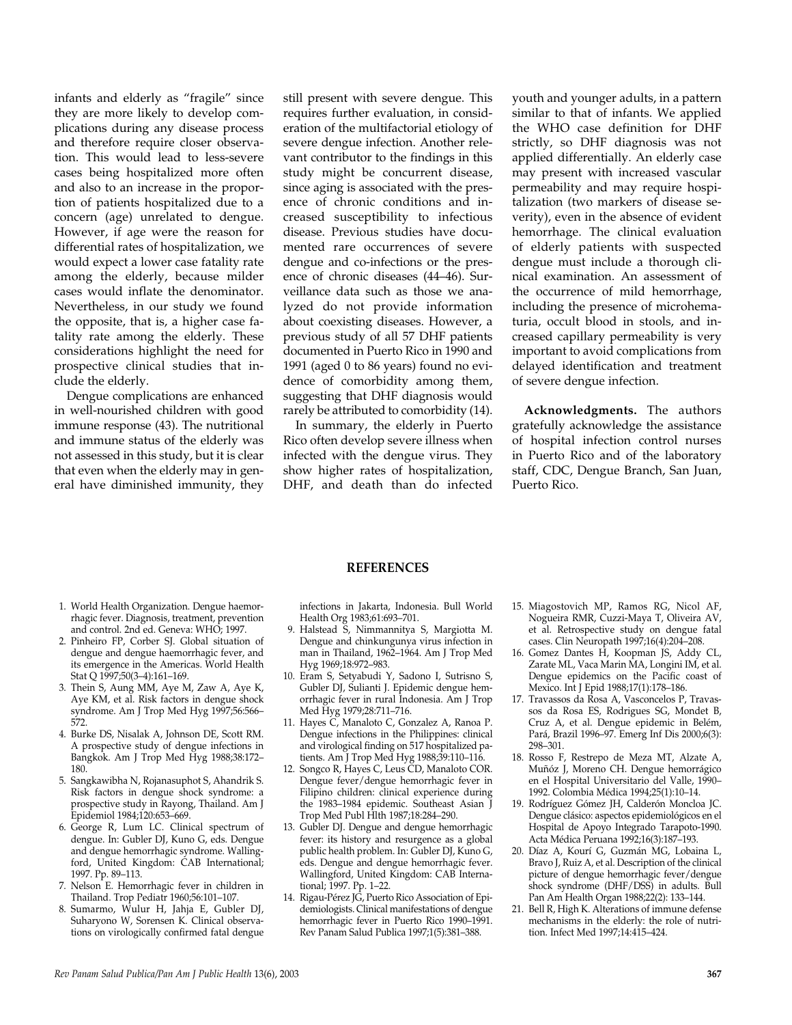infants and elderly as "fragile" since they are more likely to develop complications during any disease process and therefore require closer observation. This would lead to less-severe cases being hospitalized more often and also to an increase in the proportion of patients hospitalized due to a concern (age) unrelated to dengue. However, if age were the reason for differential rates of hospitalization, we would expect a lower case fatality rate among the elderly, because milder cases would inflate the denominator. Nevertheless, in our study we found the opposite, that is, a higher case fatality rate among the elderly. These considerations highlight the need for prospective clinical studies that include the elderly.

Dengue complications are enhanced in well-nourished children with good immune response (43). The nutritional and immune status of the elderly was not assessed in this study, but it is clear that even when the elderly may in general have diminished immunity, they

still present with severe dengue. This requires further evaluation, in consideration of the multifactorial etiology of severe dengue infection. Another relevant contributor to the findings in this study might be concurrent disease, since aging is associated with the presence of chronic conditions and increased susceptibility to infectious disease. Previous studies have documented rare occurrences of severe dengue and co-infections or the presence of chronic diseases (44–46). Surveillance data such as those we analyzed do not provide information about coexisting diseases. However, a previous study of all 57 DHF patients documented in Puerto Rico in 1990 and 1991 (aged 0 to 86 years) found no evidence of comorbidity among them, suggesting that DHF diagnosis would rarely be attributed to comorbidity (14).

In summary, the elderly in Puerto Rico often develop severe illness when infected with the dengue virus. They show higher rates of hospitalization, DHF, and death than do infected

youth and younger adults, in a pattern similar to that of infants. We applied the WHO case definition for DHF strictly, so DHF diagnosis was not applied differentially. An elderly case may present with increased vascular permeability and may require hospitalization (two markers of disease severity), even in the absence of evident hemorrhage. The clinical evaluation of elderly patients with suspected dengue must include a thorough clinical examination. An assessment of the occurrence of mild hemorrhage, including the presence of microhematuria, occult blood in stools, and increased capillary permeability is very important to avoid complications from delayed identification and treatment of severe dengue infection.

**Acknowledgments.** The authors gratefully acknowledge the assistance of hospital infection control nurses in Puerto Rico and of the laboratory staff, CDC, Dengue Branch, San Juan, Puerto Rico.

#### **REFERENCES**

- 1. World Health Organization. Dengue haemorrhagic fever. Diagnosis, treatment, prevention and control. 2nd ed. Geneva: WHO; 1997.
- 2. Pinheiro FP, Corber SJ. Global situation of dengue and dengue haemorrhagic fever, and its emergence in the Americas. World Health Stat Q 1997;50(3–4):161–169.
- 3. Thein S, Aung MM, Aye M, Zaw A, Aye K, Aye KM, et al. Risk factors in dengue shock syndrome. Am J Trop Med Hyg 1997;56:566-572.
- 4. Burke DS, Nisalak A, Johnson DE, Scott RM. A prospective study of dengue infections in Bangkok. Am J Trop Med Hyg 1988;38:172– 180.
- 5. Sangkawibha N, Rojanasuphot S, Ahandrik S. Risk factors in dengue shock syndrome: a prospective study in Rayong, Thailand. Am J Epidemiol 1984;120:653–669.
- 6. George R, Lum LC. Clinical spectrum of dengue. In: Gubler DJ, Kuno G, eds. Dengue and dengue hemorrhagic syndrome. Wallingford, United Kingdom: CAB International; 1997. Pp. 89–113.
- 7. Nelson E. Hemorrhagic fever in children in Thailand. Trop Pediatr 1960;56:101–107.
- 8. Sumarmo, Wulur H, Jahja E, Gubler DJ, Suharyono W, Sorensen K. Clinical observations on virologically confirmed fatal dengue

infections in Jakarta, Indonesia. Bull World Health Org 1983;61:693–701.

- 9. Halstead S, Nimmannitya S, Margiotta M. Dengue and chinkungunya virus infection in man in Thailand, 1962-1964. Am J Trop Med Hyg 1969;18:972–983.
- 10. Eram S, Setyabudi Y, Sadono I, Sutrisno S, Gubler DJ, Sulianti J. Epidemic dengue hemorrhagic fever in rural Indonesia. Am J Trop Med Hyg 1979;28:711–716.
- 11. Hayes C, Manaloto C, Gonzalez A, Ranoa P. Dengue infections in the Philippines: clinical and virological finding on 517 hospitalized patients. Am J Trop Med Hyg 1988;39:110–116.
- 12. Songco R, Hayes C, Leus CD, Manaloto COR. Dengue fever/dengue hemorrhagic fever in Filipino children: clinical experience during the 1983–1984 epidemic. Southeast Asian J Trop Med Publ Hlth 1987;18:284–290.
- 13. Gubler DJ. Dengue and dengue hemorrhagic fever: its history and resurgence as a global public health problem. In: Gubler DJ, Kuno G, eds. Dengue and dengue hemorrhagic fever. Wallingford, United Kingdom: CAB International; 1997. Pp. 1–22.
- 14. Rigau-Pérez JG, Puerto Rico Association of Epidemiologists. Clinical manifestations of dengue hemorrhagic fever in Puerto Rico 1990–1991. Rev Panam Salud Publica 1997;1(5):381–388.
- 15. Miagostovich MP, Ramos RG, Nicol AF, Nogueira RMR, Cuzzi-Maya T, Oliveira AV, et al. Retrospective study on dengue fatal cases. Clin Neuropath 1997;16(4):204–208.
- 16. Gomez Dantes H, Koopman JS, Addy CL, Zarate ML, Vaca Marin MA, Longini IM, et al. Dengue epidemics on the Pacific coast of Mexico. Int J Epid 1988;17(1):178–186.
- 17. Travassos da Rosa A, Vasconcelos P, Travassos da Rosa ES, Rodrigues SG, Mondet B, Cruz A, et al. Dengue epidemic in Belém, Pará, Brazil 1996–97. Emerg Inf Dis 2000;6(3): 298–301.
- 18. Rosso F, Restrepo de Meza MT, Alzate A, Muñóz J, Moreno CH. Dengue hemorrágico en el Hospital Universitario del Valle, 1990– 1992. Colombia Médica 1994;25(1):10–14.
- 19. Rodríguez Gómez JH, Calderón Moncloa JC. Dengue clásico: aspectos epidemiológicos en el Hospital de Apoyo Integrado Tarapoto-1990. Acta Médica Peruana 1992;16(3):187–193.
- 20. Díaz A, Kourí G, Guzmán MG, Lobaina L, Bravo J, Ruiz A, et al. Description of the clinical picture of dengue hemorrhagic fever/dengue shock syndrome (DHF/DSS) in adults. Bull Pan Am Health Organ 1988;22(2): 133–144.
- 21. Bell R, High K. Alterations of immune defense mechanisms in the elderly: the role of nutrition. Infect Med 1997;14:415–424.